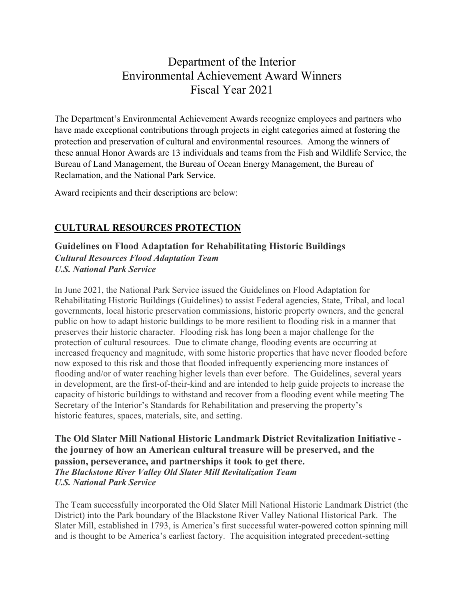# Department of the Interior Environmental Achievement Award Winners Fiscal Year 2021

The Department's Environmental Achievement Awards recognize employees and partners who have made exceptional contributions through projects in eight categories aimed at fostering the protection and preservation of cultural and environmental resources. Among the winners of these annual Honor Awards are 13 individuals and teams from the Fish and Wildlife Service, the Bureau of Land Management, the Bureau of Ocean Energy Management, the Bureau of Reclamation, and the National Park Service.

Award recipients and their descriptions are below:

# **CULTURAL RESOURCES PROTECTION**

**Guidelines on Flood Adaptation for Rehabilitating Historic Buildings** *Cultural Resources Flood Adaptation Team U.S. National Park Service* 

In June 2021, the National Park Service issued the Guidelines on Flood Adaptation for Rehabilitating Historic Buildings (Guidelines) to assist Federal agencies, State, Tribal, and local governments, local historic preservation commissions, historic property owners, and the general public on how to adapt historic buildings to be more resilient to flooding risk in a manner that preserves their historic character. Flooding risk has long been a major challenge for the protection of cultural resources. Due to climate change, flooding events are occurring at increased frequency and magnitude, with some historic properties that have never flooded before now exposed to this risk and those that flooded infrequently experiencing more instances of flooding and/or of water reaching higher levels than ever before. The Guidelines, several years in development, are the first-of-their-kind and are intended to help guide projects to increase the capacity of historic buildings to withstand and recover from a flooding event while meeting The Secretary of the Interior's Standards for Rehabilitation and preserving the property's historic features, spaces, materials, site, and setting.

**The Old Slater Mill National Historic Landmark District Revitalization Initiative the journey of how an American cultural treasure will be preserved, and the passion, perseverance, and partnerships it took to get there.** *The Blackstone River Valley Old Slater Mill Revitalization Team U.S. National Park Service*

The Team successfully incorporated the Old Slater Mill National Historic Landmark District (the District) into the Park boundary of the Blackstone River Valley National Historical Park. The Slater Mill, established in 1793, is America's first successful water-powered cotton spinning mill and is thought to be America's earliest factory. The acquisition integrated precedent-setting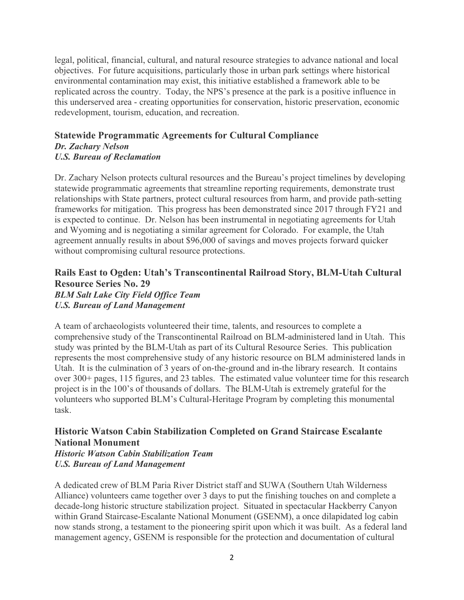legal, political, financial, cultural, and natural resource strategies to advance national and local objectives. For future acquisitions, particularly those in urban park settings where historical environmental contamination may exist, this initiative established a framework able to be replicated across the country. Today, the NPS's presence at the park is a positive influence in this underserved area - creating opportunities for conservation, historic preservation, economic redevelopment, tourism, education, and recreation.

#### **Statewide Programmatic Agreements for Cultural Compliance** *Dr. Zachary Nelson*

## *U.S. Bureau of Reclamation*

Dr. Zachary Nelson protects cultural resources and the Bureau's project timelines by developing statewide programmatic agreements that streamline reporting requirements, demonstrate trust relationships with State partners, protect cultural resources from harm, and provide path-setting frameworks for mitigation. This progress has been demonstrated since 2017 through FY21 and is expected to continue. Dr. Nelson has been instrumental in negotiating agreements for Utah and Wyoming and is negotiating a similar agreement for Colorado. For example, the Utah agreement annually results in about \$96,000 of savings and moves projects forward quicker without compromising cultural resource protections.

## **Rails East to Ogden: Utah's Transcontinental Railroad Story, BLM-Utah Cultural Resource Series No. 29** *BLM Salt Lake City Field Office Team U.S. Bureau of Land Management*

A team of archaeologists volunteered their time, talents, and resources to complete a comprehensive study of the Transcontinental Railroad on BLM-administered land in Utah. This study was printed by the BLM-Utah as part of its Cultural Resource Series. This publication represents the most comprehensive study of any historic resource on BLM administered lands in Utah. It is the culmination of 3 years of on-the-ground and in-the library research. It contains over 300+ pages, 115 figures, and 23 tables. The estimated value volunteer time for this research project is in the 100's of thousands of dollars. The BLM-Utah is extremely grateful for the volunteers who supported BLM's Cultural-Heritage Program by completing this monumental task.

# **Historic Watson Cabin Stabilization Completed on Grand Staircase Escalante National Monument**

*Historic Watson Cabin Stabilization Team U.S. Bureau of Land Management*

A dedicated crew of BLM Paria River District staff and SUWA (Southern Utah Wilderness Alliance) volunteers came together over 3 days to put the finishing touches on and complete a decade-long historic structure stabilization project. Situated in spectacular Hackberry Canyon within Grand Staircase-Escalante National Monument (GSENM), a once dilapidated log cabin now stands strong, a testament to the pioneering spirit upon which it was built. As a federal land management agency, GSENM is responsible for the protection and documentation of cultural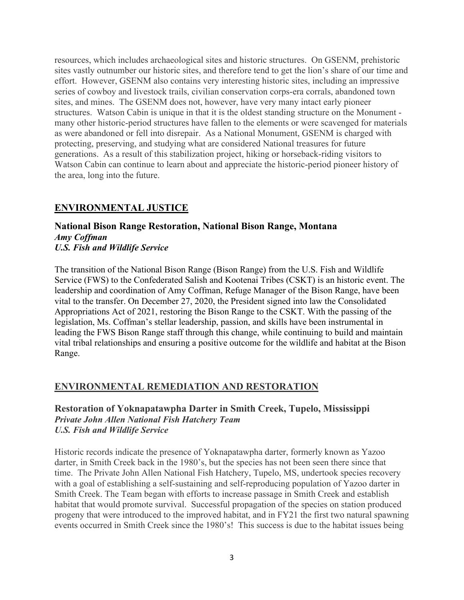resources, which includes archaeological sites and historic structures. On GSENM, prehistoric sites vastly outnumber our historic sites, and therefore tend to get the lion's share of our time and effort. However, GSENM also contains very interesting historic sites, including an impressive series of cowboy and livestock trails, civilian conservation corps-era corrals, abandoned town sites, and mines. The GSENM does not, however, have very many intact early pioneer structures. Watson Cabin is unique in that it is the oldest standing structure on the Monument many other historic-period structures have fallen to the elements or were scavenged for materials as were abandoned or fell into disrepair. As a National Monument, GSENM is charged with protecting, preserving, and studying what are considered National treasures for future generations. As a result of this stabilization project, hiking or horseback-riding visitors to Watson Cabin can continue to learn about and appreciate the historic-period pioneer history of the area, long into the future.

## **ENVIRONMENTAL JUSTICE**

#### **National Bison Range Restoration, National Bison Range, Montana** *Amy Coffman U.S. Fish and Wildlife Service*

The transition of the National Bison Range (Bison Range) from the U.S. Fish and Wildlife Service (FWS) to the Confederated Salish and Kootenai Tribes (CSKT) is an historic event. The leadership and coordination of Amy Coffman, Refuge Manager of the Bison Range, have been vital to the transfer. On December 27, 2020, the President signed into law the Consolidated Appropriations Act of 2021, restoring the Bison Range to the CSKT. With the passing of the legislation, Ms. Coffman's stellar leadership, passion, and skills have been instrumental in leading the FWS Bison Range staff through this change, while continuing to build and maintain vital tribal relationships and ensuring a positive outcome for the wildlife and habitat at the Bison Range.

## **ENVIRONMENTAL REMEDIATION AND RESTORATION**

#### **Restoration of Yoknapatawpha Darter in Smith Creek, Tupelo, Mississippi** *Private John Allen National Fish Hatchery Team U.S. Fish and Wildlife Service*

Historic records indicate the presence of Yoknapatawpha darter, formerly known as Yazoo darter, in Smith Creek back in the 1980's, but the species has not been seen there since that time. The Private John Allen National Fish Hatchery, Tupelo, MS, undertook species recovery with a goal of establishing a self-sustaining and self-reproducing population of Yazoo darter in Smith Creek. The Team began with efforts to increase passage in Smith Creek and establish habitat that would promote survival. Successful propagation of the species on station produced progeny that were introduced to the improved habitat, and in FY21 the first two natural spawning events occurred in Smith Creek since the 1980's! This success is due to the habitat issues being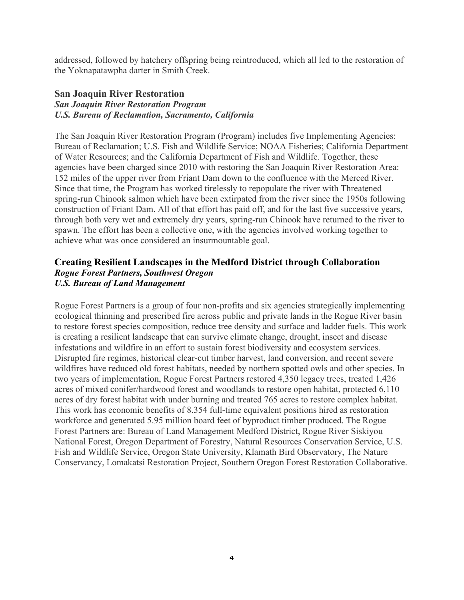addressed, followed by hatchery offspring being reintroduced, which all led to the restoration of the Yoknapatawpha darter in Smith Creek.

#### **San Joaquin River Restoration**

## *San Joaquin River Restoration Program U.S. Bureau of Reclamation, Sacramento, California*

The San Joaquin River Restoration Program (Program) includes five Implementing Agencies: Bureau of Reclamation; U.S. Fish and Wildlife Service; NOAA Fisheries; California Department of Water Resources; and the California Department of Fish and Wildlife. Together, these agencies have been charged since 2010 with restoring the San Joaquin River Restoration Area: 152 miles of the upper river from Friant Dam down to the confluence with the Merced River. Since that time, the Program has worked tirelessly to repopulate the river with Threatened spring-run Chinook salmon which have been extirpated from the river since the 1950s following construction of Friant Dam. All of that effort has paid off, and for the last five successive years, through both very wet and extremely dry years, spring-run Chinook have returned to the river to spawn. The effort has been a collective one, with the agencies involved working together to achieve what was once considered an insurmountable goal.

#### **Creating Resilient Landscapes in the Medford District through Collaboration** *Rogue Forest Partners, Southwest Oregon U.S. Bureau of Land Management*

Rogue Forest Partners is a group of four non-profits and six agencies strategically implementing ecological thinning and prescribed fire across public and private lands in the Rogue River basin to restore forest species composition, reduce tree density and surface and ladder fuels. This work is creating a resilient landscape that can survive climate change, drought, insect and disease infestations and wildfire in an effort to sustain forest biodiversity and ecosystem services. Disrupted fire regimes, historical clear-cut timber harvest, land conversion, and recent severe wildfires have reduced old forest habitats, needed by northern spotted owls and other species. In two years of implementation, Rogue Forest Partners restored 4,350 legacy trees, treated 1,426 acres of mixed conifer/hardwood forest and woodlands to restore open habitat, protected 6,110 acres of dry forest habitat with under burning and treated 765 acres to restore complex habitat. This work has economic benefits of 8.354 full-time equivalent positions hired as restoration workforce and generated 5.95 million board feet of byproduct timber produced. The Rogue Forest Partners are: Bureau of Land Management Medford District, Rogue River Siskiyou National Forest, Oregon Department of Forestry, Natural Resources Conservation Service, U.S. Fish and Wildlife Service, Oregon State University, Klamath Bird Observatory, The Nature Conservancy, Lomakatsi Restoration Project, Southern Oregon Forest Restoration Collaborative.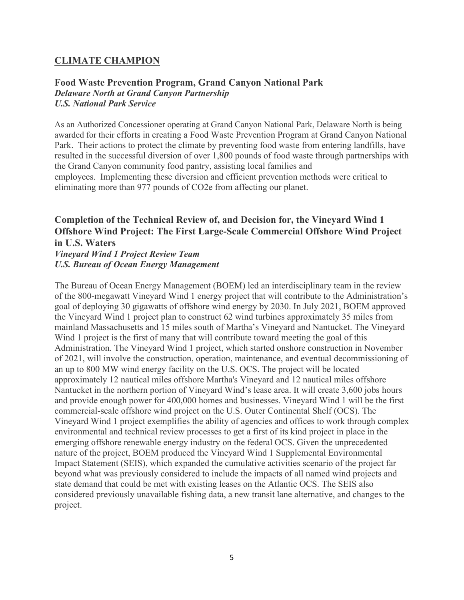## **CLIMATE CHAMPION**

#### **Food Waste Prevention Program, Grand Canyon National Park** *Delaware North at Grand Canyon Partnership U.S. National Park Service*

As an Authorized Concessioner operating at Grand Canyon National Park, Delaware North is being awarded for their efforts in creating a Food Waste Prevention Program at Grand Canyon National Park. Their actions to protect the climate by preventing food waste from entering landfills, have resulted in the successful diversion of over 1,800 pounds of food waste through partnerships with the Grand Canyon community food pantry, assisting local families and employees. Implementing these diversion and efficient prevention methods were critical to eliminating more than 977 pounds of CO2e from affecting our planet.

# **Completion of the Technical Review of, and Decision for, the Vineyard Wind 1 Offshore Wind Project: The First Large-Scale Commercial Offshore Wind Project in U.S. Waters**

*Vineyard Wind 1 Project Review Team U.S. Bureau of Ocean Energy Management*

The Bureau of Ocean Energy Management (BOEM) led an interdisciplinary team in the review of the 800-megawatt Vineyard Wind 1 energy project that will contribute to the Administration's goal of deploying 30 gigawatts of offshore wind energy by 2030. In July 2021, BOEM approved the Vineyard Wind 1 project plan to construct 62 wind turbines approximately 35 miles from mainland Massachusetts and 15 miles south of Martha's Vineyard and Nantucket. The Vineyard Wind 1 project is the first of many that will contribute toward meeting the goal of this Administration. The Vineyard Wind 1 project, which started onshore construction in November of 2021, will involve the construction, operation, maintenance, and eventual decommissioning of an up to 800 MW wind energy facility on the U.S. OCS. The project will be located approximately 12 nautical miles offshore Martha's Vineyard and 12 nautical miles offshore Nantucket in the northern portion of Vineyard Wind's lease area. It will create 3,600 jobs hours and provide enough power for 400,000 homes and businesses. Vineyard Wind 1 will be the first commercial-scale offshore wind project on the U.S. Outer Continental Shelf (OCS). The Vineyard Wind 1 project exemplifies the ability of agencies and offices to work through complex environmental and technical review processes to get a first of its kind project in place in the emerging offshore renewable energy industry on the federal OCS. Given the unprecedented nature of the project, BOEM produced the Vineyard Wind 1 Supplemental Environmental Impact Statement (SEIS), which expanded the cumulative activities scenario of the project far beyond what was previously considered to include the impacts of all named wind projects and state demand that could be met with existing leases on the Atlantic OCS. The SEIS also considered previously unavailable fishing data, a new transit lane alternative, and changes to the project.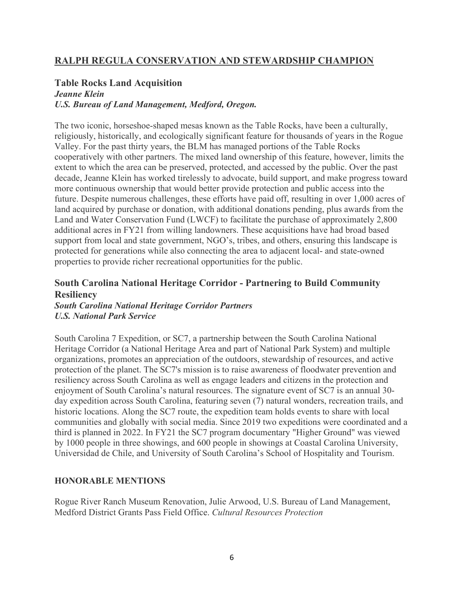## **RALPH REGULA CONSERVATION AND STEWARDSHIP CHAMPION**

## **Table Rocks Land Acquisition**

## *Jeanne Klein U.S. Bureau of Land Management, Medford, Oregon.*

The two iconic, horseshoe-shaped mesas known as the Table Rocks, have been a culturally, religiously, historically, and ecologically significant feature for thousands of years in the Rogue Valley. For the past thirty years, the BLM has managed portions of the Table Rocks cooperatively with other partners. The mixed land ownership of this feature, however, limits the extent to which the area can be preserved, protected, and accessed by the public. Over the past decade, Jeanne Klein has worked tirelessly to advocate, build support, and make progress toward more continuous ownership that would better provide protection and public access into the future. Despite numerous challenges, these efforts have paid off, resulting in over 1,000 acres of land acquired by purchase or donation, with additional donations pending, plus awards from the Land and Water Conservation Fund (LWCF) to facilitate the purchase of approximately 2,800 additional acres in FY21 from willing landowners. These acquisitions have had broad based support from local and state government, NGO's, tribes, and others, ensuring this landscape is protected for generations while also connecting the area to adjacent local- and state-owned properties to provide richer recreational opportunities for the public.

# **South Carolina National Heritage Corridor - Partnering to Build Community Resiliency**

*South Carolina National Heritage Corridor Partners U.S. National Park Service* 

South Carolina 7 Expedition, or SC7, a partnership between the South Carolina National Heritage Corridor (a National Heritage Area and part of National Park System) and multiple organizations, promotes an appreciation of the outdoors, stewardship of resources, and active protection of the planet. The SC7's mission is to raise awareness of floodwater prevention and resiliency across South Carolina as well as engage leaders and citizens in the protection and enjoyment of South Carolina's natural resources. The signature event of SC7 is an annual 30 day expedition across South Carolina, featuring seven (7) natural wonders, recreation trails, and historic locations. Along the SC7 route, the expedition team holds events to share with local communities and globally with social media. Since 2019 two expeditions were coordinated and a third is planned in 2022. In FY21 the SC7 program documentary "Higher Ground" was viewed by 1000 people in three showings, and 600 people in showings at Coastal Carolina University, Universidad de Chile, and University of South Carolina's School of Hospitality and Tourism.

## **HONORABLE MENTIONS**

Rogue River Ranch Museum Renovation, Julie Arwood, U.S. Bureau of Land Management, Medford District Grants Pass Field Office. *Cultural Resources Protection*